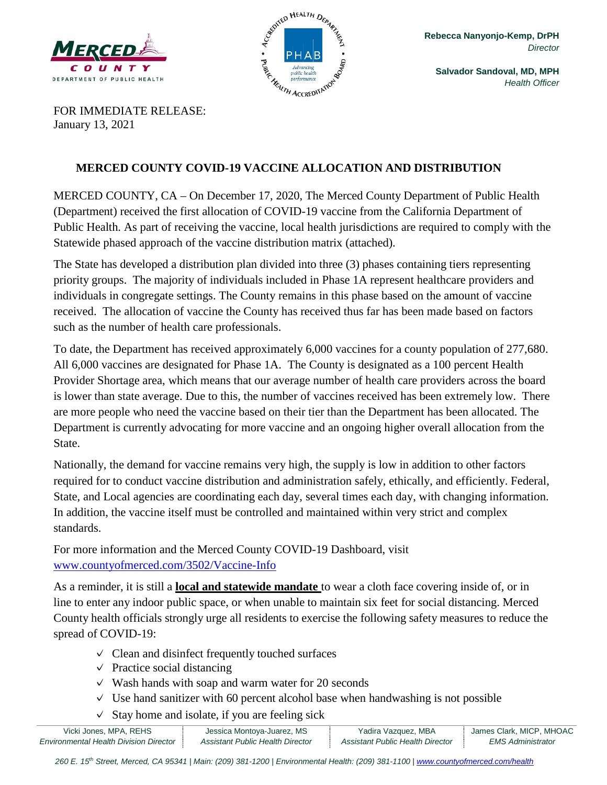



**Salvador Sandoval, MD, MPH** *Health Officer*

FOR IMMEDIATE RELEASE: January 13, 2021

## **MERCED COUNTY COVID-19 VACCINE ALLOCATION AND DISTRIBUTION**

MERCED COUNTY, CA – On December 17, 2020, The Merced County Department of Public Health (Department) received the first allocation of COVID-19 vaccine from the California Department of Public Health. As part of receiving the vaccine, local health jurisdictions are required to comply with the Statewide phased approach of the vaccine distribution matrix (attached).

The State has developed a distribution plan divided into three (3) phases containing tiers representing priority groups. The majority of individuals included in Phase 1A represent healthcare providers and individuals in congregate settings. The County remains in this phase based on the amount of vaccine received. The allocation of vaccine the County has received thus far has been made based on factors such as the number of health care professionals.

To date, the Department has received approximately 6,000 vaccines for a county population of 277,680. All 6,000 vaccines are designated for Phase 1A. The County is designated as a 100 percent Health Provider Shortage area, which means that our average number of health care providers across the board is lower than state average. Due to this, the number of vaccines received has been extremely low. There are more people who need the vaccine based on their tier than the Department has been allocated. The Department is currently advocating for more vaccine and an ongoing higher overall allocation from the State.

Nationally, the demand for vaccine remains very high, the supply is low in addition to other factors required for to conduct vaccine distribution and administration safely, ethically, and efficiently. Federal, State, and Local agencies are coordinating each day, several times each day, with changing information. In addition, the vaccine itself must be controlled and maintained within very strict and complex standards.

For more information and the Merced County COVID-19 Dashboard, visit [www.countyofmerced.com/3502/Vaccine-Info](http://www.countyofmerced.com/3502/Vaccine-Info)

As a reminder, it is still a **local and statewide mandate** to wear a cloth face covering inside of, or in line to enter any indoor public space, or when unable to maintain six feet for social distancing. Merced County health officials strongly urge all residents to exercise the following safety measures to reduce the spread of COVID-19:

- $\vee$  Clean and disinfect frequently touched surfaces
- $\vee$  Practice social distancing
- $\vee$  Wash hands with soap and warm water for 20 seconds
- $\vee$  Use hand sanitizer with 60 percent alcohol base when handwashing is not possible
- $\vee$  Stay home and isolate, if you are feeling sick